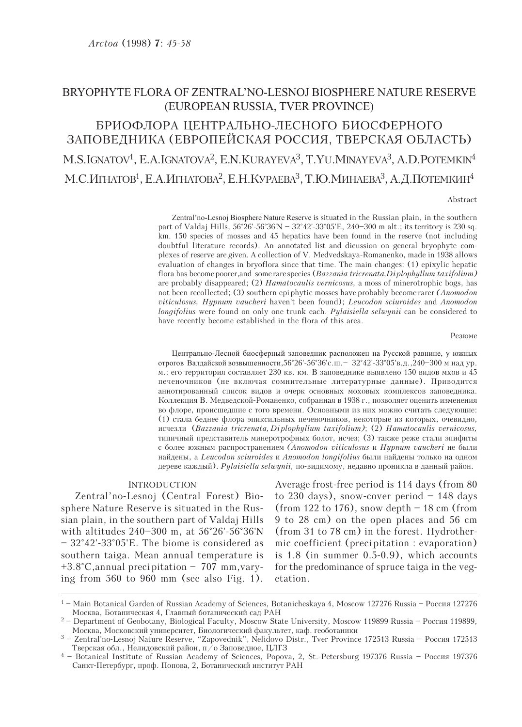# BRYOPHYTE FLORA OF ZENTRAL'NO-LESNOJ BIOSPHERE NATURE RESERVE (EUROPEAN RUSSIA, TVER PROVINCE)

БРИОФЛОРА ПЕНТРАЛЬНО-ЛЕСНОГО БИОСФЕРНОГО ЗАПОВЕДНИКА (ЕВРОПЕЙСКАЯ РОССИЯ, ТВЕРСКАЯ ОБЛАСТЬ) M.S.IGNATOV<sup>1</sup>, E.A.IGNATOVA<sup>2</sup>, E.N.KURAYEVA<sup>3</sup>, T.YU.MINAYEVA<sup>3</sup>, A.D.POTEMKIN<sup>4</sup> М.С.ИГНАТОВ<sup>1</sup>, Е.А.ИГНАТОВА<sup>2</sup>, Е.Н.КУРАЕВА<sup>3</sup>, Т.Ю.МИНАЕВА<sup>3</sup>, А.Д.ПОТЕМКИН<sup>4</sup>

#### Abstract

Zentral'no-Lesnoj Biosphere Nature Reserve is situated in the Russian plain, in the southern part of Valdaj Hills, 56°26'-56°36'N – 32°42'-33°05'E, 240–300 m alt.; its territory is 230 sq. km. 150 species of mosses and 45 hepatics have been found in the reserve (not including doubtful literature records). An annotated list and dicussion on general bryophyte complexes of reserve are given. A collection of V. Medvedskaya-Romanenko, made in 1938 allows evaluation of changes in bryoflora since that time. The main changes: (1) epixylic hepatic flora has become poorer, and some rare species  $(Bazzania\ tricrenata, Di\,plophyllum\ taxifolium)$ are probably disappeared; (2) *Hamatocaulis vernicosus*, a moss of minerotrophic bogs, has not been recollected; (3) southern epi phytic mosses have probably become rarer (*Anomodon* viticulosus, Hypnum vaucheri haven't been found); Leucodon sciuroides and Anomodon longifolius were found on only one trunk each. Pylaisiella selwynii can be considered to have recently become established in the flora of this area.

#### Резюме

Центрально-Лесной биосферный заповедник расположен на Русской равнине, у южных отрогов Валдайской возвышенности, 56°26'-56°36'с. ш. –  $32^{\circ}42'$ -33°05'в. д., 240–300 м над ур. и.; его территория составляет 230 кв. км. В заповеднике выявлено 150 видов мхов и 45 печеночников (не включая сомнительные литературные данные). Приводится аннотированный список видов и очерк основных моховых комплексов заповедника. Коллекция В. Медведской-Романенко, собранная в 1938 г., позволяет оценить изменения во флоре, происшедшие с того времени. Основными из них можно считать следующие: (1) стала беднее флора эпиксильных печеночников, некоторые из которых, очевидно, èñ÷åçëè (Bazzania tricrenata, Di plophyllum taxifolium); (2) Hamatocaulis vernicosus, типичный представитель минеротрофных болот, исчез; (3) также реже стали эпифиты с более южным распространением (Anomodon viticulosus и Hypnum vaucheri не были найдены, а Leucodon sciuroides и Anomodon longifolius были найдены только на одном дереве каждый). Pylaisiella selwynii, по-видимому, недавно проникла в данный район.

#### INTRODUCTION

Zentral'no-Lesnoj (Central Forest) Biosphere Nature Reserve is situated in the Russian plain, in the southern part of Valdaj Hills with altitudes 240–300 m, at 56°26'-56°36'N – 32°42'-33°05'E. The biome is considered as southern taiga. Mean annual temperature is +3.8°C, annual precipitation – 707 mm, varying from 560 to 960 mm (see also Fig. 1). Average frost-free period is 114 days (from 80 to 230 days), snow-cover period  $-148$  days (from 122 to 176), snow depth  $-18$  cm (from 9 to 28 cm) on the open places and 56 cm (from 31 to 78 cm) in the forest. Hydrothermic coefficient (preci pitation : evaporation) is 1.8 (in summer 0.5-0.9), which accounts for the predominance of spruce taiga in the vegetation.

<sup>&</sup>lt;sup>1</sup> – Main Botanical Garden of Russian Academy of Sciences, Botanicheskaya 4, Moscow 127276 Russia – Россия 127276 Москва, Ботаническая 4, Главный ботанический сад РАН

<sup>&</sup>lt;sup>2</sup> – Department of Geobotany, Biological Faculty, Moscow State University, Moscow 119899 Russia – Россия 119899, Москва, Московский университет, Биологический факультет, каф. геоботаники

<sup>&</sup>lt;sup>3</sup> – Zentral'no-Lesnoj Nature Reserve, "Zapovednik", Nelidovo Distr., Tver Province 172513 Russia – Россия 172513 Тверская обл., Нелидовский район, п/о Заповедное, ЦЛГЗ

<sup>&</sup>lt;sup>4</sup> – Botanical Institute of Russian Academy of Sciences, Popova, 2, St.-Petersburg 197376 Russia – Россия 197376 Санкт-Петербург, проф. Попова, 2, Ботанический институт РАН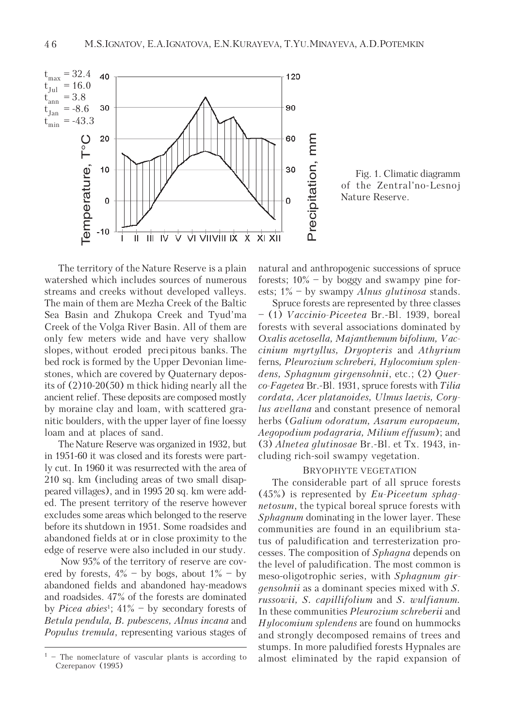

Fig. 1. Climatic diagramm of the Zentral'no-Lesnoj Nature Reserve.

The territory of the Nature Reserve is a plain watershed which includes sources of numerous streams and creeks without developed valleys. The main of them are Mezha Creek of the Baltic Sea Basin and Zhukopa Creek and Tyud'ma Creek of the Volga River Basin. All of them are only few meters wide and have very shallow slopes, without eroded precipitous banks. The bed rock is formed by the Upper Devonian limestones, which are covered by Quaternary deposits of (2)10-20(50) m thick hiding nearly all the ancient relief. These deposits are composed mostly by moraine clay and loam, with scattered granitic boulders, with the upper layer of fine loessy loam and at places of sand.

The Nature Reserve was organized in 1932, but in 1951-60 it was closed and its forests were partly cut. In 1960 it was resurrected with the area of 210 sq. km (including areas of two small disappeared villages), and in 1995 20 sq. km were added. The present territory of the reserve however excludes some areas which belonged to the reserve before its shutdown in 1951. Some roadsides and abandoned fields at or in close proximity to the edge of reserve were also included in our study.

 Now 95% of the territory of reserve are covered by forests,  $4\%$  – by bogs, about  $1\%$  – by abandoned fields and abandoned hay-meadows and roadsides. 47% of the forests are dominated by *Picea abies*<sup>1</sup>;  $41\%$  – by secondary forests of Betula pendula, B. pubescens, Alnus incana and Populus tremula, representing various stages of

natural and anthropogenic successions of spruce forests;  $10\%$  – by boggy and swampy pine forests;  $1\%$  – by swampy *Alnus glutinosa* stands.

Spruce forests are represented by three classes – (1) Vaccinio-Piceetea Br.-Bl. 1939, boreal forests with several associations dominated by Oxalis acetosella, Majanthemum bifolium, Vaccinium myrtyllus, Dryopteris and Athyrium ferns, Pleurozium schreberi, Hylocomium splendens, Sphagnum girgensohnii, etc.; (2) Querco-Fagetea Br.-Bl. 1931, spruce forests with Tilia cordata, Acer platanoides, Ulmus laevis, Corylus avellana and constant presence of nemoral herbs (Galium odoratum, Asarum europaeum, Aegopodium podagraria, Milium effusum); and (3) Alnetea glutinosae Br.-Bl. et Tx. 1943, including rich-soil swampy vegetation.

## BRYOPHYTE VEGETATION

The considerable part of all spruce forests  $(45\%)$  is represented by *Eu-Piceetum sphag*netosum, the typical boreal spruce forests with Sphagnum dominating in the lower layer. These communities are found in an equilibrium status of paludification and terresterization processes. The composition of Sphagna depends on the level of paludification. The most common is meso-oligotrophic series, with Sphagnum girgensohnii as a dominant species mixed with S. russowii, S. capillifolium and S. wulfianum. In these communities Pleurozium schreberii and Hylocomium splendens are found on hummocks and strongly decomposed remains of trees and stumps. In more paludified forests Hypnales are  $1$  – The nomeclature of vascular plants is according to almost eliminated by the rapid expansion of

Czerepanov (1995)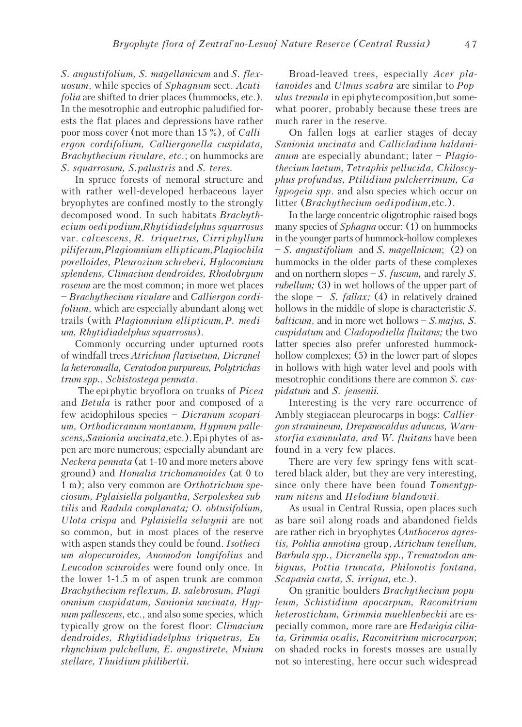S. angustifolium, S. magellanicum and S. flexuosum, while species of Sphagnum sect. Acutifolia are shifted to drier places (hummocks, etc.). In the mesotrophic and eutrophic paludified forests the flat places and depressions have rather poor moss cover (not more than 15 %), of Calliergon cordifolium, Calliergonella cuspidata, Brachythecium rivulare, etc.; on hummocks are S. squarrosum, S.palustris and S. teres.

In spruce forests of nemoral structure and with rather well-developed herbaceous layer bryophytes are confined mostly to the strongly decomposed wood. In such habitats Brachythecium oedipodium, Rhytidiadelphus squarrosus var. calvescens, R. triquetrus, Cirri phyllum piliferum, Plagiomnium elli pticum, Plagiochila porelloides, Pleurozium schreberi, Hylocomium splendens, Climacium dendroides, Rhodobryum roseum are the most common; in more wet places – Brachythecium rivulare and Calliergon cordifolium, which are especially abundant along wet trails (with Plagiomnium ellipticum, P. medium, Rhytidiadelphus squarrosus).

Commonly occurring under upturned roots of windfall trees Atrichum flavisetum, Dicranella heteromalla, Ceratodon purpureus, Polytrichastrum spp., Schistostega pennata.

 The epiphytic bryoflora on trunks of Picea and Betula is rather poor and composed of a few acidophilous species – Dicranum scoparium, Orthodicranum montanum, Hypnum pallescens, Sanionia uncinata, etc.). Epiphytes of aspen are more numerous; especially abundant are Neckera pennata (at 1-10 and more meters above ground) and Homalia trichomanoides (at 0 to 1 m); also very common are Orthotrichum speciosum, Pylaisiella polyantha, Serpoleskea subtilis and Radula complanata; O. obtusifolium, Ulota crispa and Pylaisiella selwynii are not so common, but in most places of the reserve with aspen stands they could be found. Isothecium alopecuroides, Anomodon longifolius and Leucodon sciuroides were found only once. In the lower 1-1.5 m of aspen trunk are common Brachythecium reflexum, B. salebrosum, Plagiomnium cuspidatum, Sanionia uncinata, Hypnum pallescens, etc., and also some species, which typically grow on the forest floor: Climacium dendroides, Rhytidiadelphus triquetrus, Eurhynchium pulchellum, E. angustirete, Mnium stellare, Thuidium philibertii.

Broad-leaved trees, especially Acer platanoides and Ulmus scabra are similar to Populus *tremula* in epiphyte composition, but somewhat poorer, probably because these trees are much rarer in the reserve.

On fallen logs at earlier stages of decay Sanionia uncinata and Callicladium haldani*anum* are especially abundant; later  $-Plaqio$ thecium laetum, Tetraphis pellucida, Chiloscyphus profundus, Ptilidium pulcherrimum, Calypogeia spp. and also species which occur on litter (Brachythecium oedipodium, etc.).

In the large concentric oligotrophic raised bogs many species of *Sphagna* occur: (1) on hummocks in the younger parts of hummock-hollow complexes – S. angustifolium and S. magellnicum; (2) on hummocks in the older parts of these complexes and on northern slopes  $-S.$  fuscum, and rarely S. rubellum; (3) in wet hollows of the upper part of the slope – S. *fallax*; (4) in relatively drained hollows in the middle of slope is characteristic S. balticum, and in more wet hollows  $-S$ . majus, S. cuspidatum and Cladopodiella fluitans; the two latter species also prefer unforested hummockhollow complexes; (5) in the lower part of slopes in hollows with high water level and pools with mesotrophic conditions there are common S. cuspidatum and S. jensenii.

Interesting is the very rare occurrence of Ambly stegiacean pleurocarps in bogs: Calliergon stramineum, Drepanocaldus aduncus, Warnstorfia exannulata, and W. fluitans have been found in a very few places.

There are very few springy fens with scattered black alder, but they are very interesting, since only there have been found Tomentypnum nitens and Helodium blandowii.

As usual in Central Russia, open places such as bare soil along roads and abandoned fields are rather rich in bryophytes (Anthoceros agrestis, Pohlia annotina-group, Atrichum tenellum, Barbula spp., Dicranella spp., Trematodon ambiguus, Pottia truncata, Philonotis fontana, Scapania curta, S. irrigua, etc.).

On granitic boulders Brachythecium populeum, Schistidium apocarpum, Racomitrium heterostichum, Grimmia muehlenbeckii are especially common, more rare are Hedwigia ciliata, Grimmia ovalis, Racomitrium microcarpon; on shaded rocks in forests mosses are usually not so interesting, here occur such widespread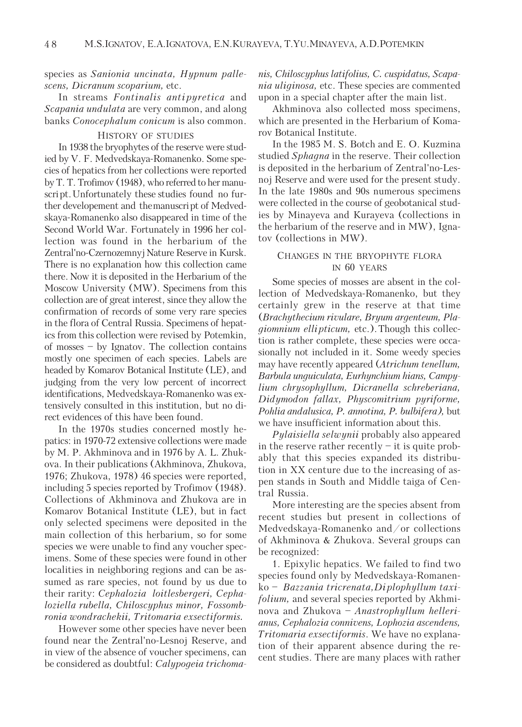## species as Sanionia uncinata, Hypnum pallescens, Dicranum scoparium, etc.

In streams Fontinalis antipyretica and Scapania undulata are very common, and along banks Conocephalum conicum is also common.

### HISTORY OF STUDIES

In 1938 the bryophytes of the reserve were studied by V. F. Medvedskaya-Romanenko. Some species of hepatics from her collections were reported by T. T. Trofimov (1948), who referred to her manuscript. Unfortunately these studies found no further developement and the manuscript of Medvedskaya-Romanenko also disappeared in time of the Second World War. Fortunately in 1996 her collection was found in the herbarium of the Zentral'no-Czernozemnyj Nature Reserve in Kursk. There is no explanation how this collection came there. Now it is deposited in the Herbarium of the Moscow University (MW). Specimens from this collection are of great interest, since they allow the confirmation of records of some very rare species in the flora of Central Russia. Specimens of hepatics from this collection were revised by Potemkin, of mosses – by Ignatov. The collection contains mostly one specimen of each species. Labels are headed by Komarov Botanical Institute (LE), and judging from the very low percent of incorrect identifications, Medvedskaya-Romanenko was extensively consulted in this institution, but no direct evidences of this have been found.

In the 1970s studies concerned mostly hepatics: in 1970-72 extensive collections were made by M. P. Akhminova and in 1976 by A. L. Zhukova. In their publications (Akhminova, Zhukova, 1976; Zhukova, 1978) 46 species were reported, including 5 species reported by Trofimov (1948). Collections of Akhminova and Zhukova are in Komarov Botanical Institute (LE), but in fact only selected specimens were deposited in the main collection of this herbarium, so for some species we were unable to find any voucher specimens. Some of these species were found in other localities in neighboring regions and can be assumed as rare species, not found by us due to their rarity: Cephalozia loitlesbergeri, Cephaloziella rubella, Chiloscyphus minor, Fossombronia wondrachekii, Tritomaria exsectiformis.

However some other species have never been found near the Zentral'no-Lesnoj Reserve, and in view of the absence of voucher specimens, can be considered as doubtful: Calypogeia trichomanis, Chiloscyphus latifolius, C. cuspidatus, Scapania uliginosa, etc. These species are commented upon in a special chapter after the main list.

Akhminova also collected moss specimens, which are presented in the Herbarium of Komarov Botanical Institute.

In the 1985 M. S. Botch and E. O. Kuzmina studied Sphagna in the reserve. Their collection is deposited in the herbarium of Zentral'no-Lesnoj Reserve and were used for the present study. In the late 1980s and 90s numerous specimens were collected in the course of geobotanical studies by Minayeva and Kurayeva (collections in the herbarium of the reserve and in MW), Ignatov (collections in MW).

## CHANGES IN THE BRYOPHYTE FLORA IN 60 YEARS

Some species of mosses are absent in the collection of Medvedskaya-Romanenko, but they certainly grew in the reserve at that time (Brachythecium rivulare, Bryum argenteum, Plagiomnium ellipticum, etc.). Though this collection is rather complete, these species were occasionally not included in it. Some weedy species may have recently appeared (Atrichum tenellum, Barbula unguiculata, Eurhynchium hians, Campylium chrysophyllum, Dicranella schreberiana, Didymodon fallax, Physcomitrium pyriforme, Pohlia andalusica, P. annotina, P. bulbifera), but we have insufficient information about this.

Pylaisiella selwynii probably also appeared in the reserve rather recently  $-$  it is quite probably that this species expanded its distribution in XX centure due to the increasing of aspen stands in South and Middle taiga of Central Russia.

More interesting are the species absent from recent studies but present in collections of Medvedskaya-Romanenko and/or collections of Akhminova & Zhukova. Several groups can be recognized:

1. Epixylic hepatics. We failed to find two species found only by Medvedskaya-Romanenko – Bazzania tricrenata, Di plophyllum taxifolium, and several species reported by Akhminova and Zhukova – Anastrophyllum hellerianus, Cephalozia connivens, Lophozia ascendens, Tritomaria exsectiformis. We have no explanation of their apparent absence during the recent studies. There are many places with rather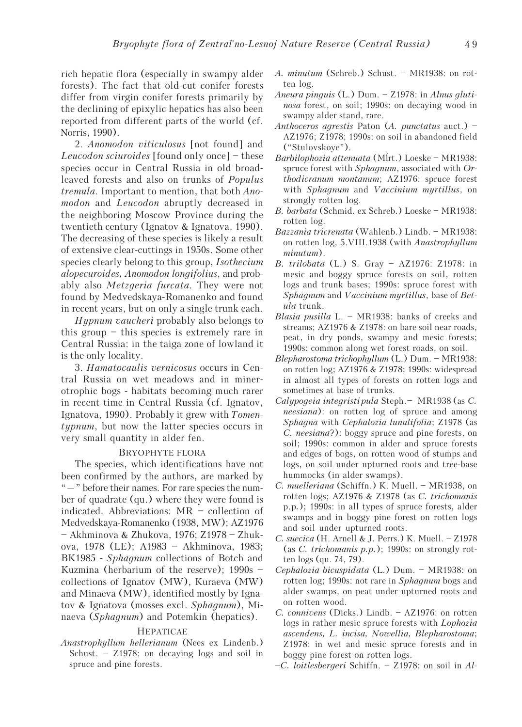rich hepatic flora (especially in swampy alder forests). The fact that old-cut conifer forests differ from virgin conifer forests primarily by the declining of epixylic hepatics has also been reported from different parts of the world (cf. Norris, 1990).

2. Anomodon viticulosus [not found] and Leucodon sciuroides [found only once] – these species occur in Central Russia in old broadleaved forests and also on trunks of Populus tremula. Important to mention, that both Anomodon and Leucodon abruptly decreased in the neighboring Moscow Province during the twentieth century (Ignatov & Ignatova, 1990). The decreasing of these species is likely a result of extensive clear-cuttings in 1950s. Some other species clearly belong to this group, Isothecium alopecuroides, Anomodon longifolius, and probably also Metzgeria furcata. They were not found by Medvedskaya-Romanenko and found in recent years, but on only a single trunk each.

Hypnum vaucheri probably also belongs to this group – this species is extremely rare in Central Russia: in the taiga zone of lowland it is the only locality.

3. Hamatocaulis vernicosus occurs in Central Russia on wet meadows and in minerotrophic bogs - habitats becoming much rarer in recent time in Central Russia (cf. Ignatov, Ignatova, 1990). Probably it grew with Tomentypnum, but now the latter species occurs in very small quantity in alder fen.

### BRYOPHYTE FLORA

The species, which identifications have not been confirmed by the authors, are marked by "—" before their names. For rare species the number of quadrate (qu.) where they were found is indicated. Abbreviations: MR – collection of Medvedskaya-Romanenko (1938, MW); AZ1976 – Akhminova & Zhukova, 1976; Z1978 – Zhukova, 1978 (LE); A1983 – Akhminova, 1983; BK1985 - Sphagnum collections of Botch and Kuzmina (herbarium of the reserve); 1990s – collections of Ignatov (MW), Kuraeva (MW) and Minaeva (MW), identified mostly by Ignatov & Ignatova (mosses excl. Sphagnum), Minaeva (Sphagnum) and Potemkin (hepatics).

#### HEPATICAE

Anastrophyllum hellerianum (Nees ex Lindenb.) Schust. – Z1978: on decaying logs and soil in spruce and pine forests.

- A. minutum (Schreb.) Schust. MR1938: on rotten log.
- Aneura pinguis (L.) Dum. Z1978: in Alnus glutinosa forest, on soil; 1990s: on decaying wood in swampy alder stand, rare.
- Anthoceros agrestis Paton  $(A.$  punctatus auct.) AZ1976; Z1978; 1990s: on soil in abandoned field ("Stulovskoye").
- Barbilophozia attenuata (Mĺrt.) Loeske MR1938: spruce forest with Sphagnum, associated with Orthodicranum montanum; AZ1976: spruce forest with Sphagnum and Vaccinium myrtillus, on strongly rotten log.
- B. barbata (Schmid. ex Schreb.) Loeske MR1938: rotten log.
- Bazzania tricrenata (Wahlenb.) Lindb. MR1938: on rotten log, 5.VIII.1938 (with Anastrophyllum minutum).
- B. trilobata (L.) S. Gray AZ1976: Z1978: in mesic and boggy spruce forests on soil, rotten logs and trunk bases; 1990s: spruce forest with Sphagnum and Vaccinium myrtillus, base of Betula trunk.
- Blasia pusilla L. MR1938: banks of creeks and streams; AZ1976 & Z1978: on bare soil near roads, peat, in dry ponds, swampy and mesic forests; 1990s: common along wet forest roads, on soil.
- Blepharostoma trichophyllum (L.) Dum. MR1938: on rotten log; AZ1976 & Z1978; 1990s: widespread in almost all types of forests on rotten logs and sometimes at base of trunks.
- Calypogeia integristi pula Steph. MR1938 (as C. neesiana): on rotten log of spruce and among Sphagna with Cephalozia lunulifolia; Z1978 (as C. neesiana?): boggy spruce and pine forests, on soil; 1990s: common in alder and spruce forests and edges of bogs, on rotten wood of stumps and logs, on soil under upturned roots and tree-base hummocks (in alder swamps).
- C. muelleriana (Schiffn.) K. Muell. MR1938, on rotten logs; AZ1976 & Z1978 (as C. trichomanis p.p.); 1990s: in all types of spruce forests, alder swamps and in boggy pine forest on rotten logs and soil under upturned roots.
- C. suecica (H. Arnell & J. Perrs.) K. Muell. Z1978 (as C. trichomanis p.p.); 1990s: on strongly rotten logs (qu. 74, 79).
- Cephalozia bicuspidata (L.) Dum. MR1938: on rotten log; 1990s: not rare in *Sphagnum* bogs and alder swamps, on peat under upturned roots and on rotten wood.
- C. connivens (Dicks.) Lindb. AZ1976: on rotten logs in rather mesic spruce forests with Lophozia ascendens, L. incisa, Nowellia, Blepharostoma; Z1978: in wet and mesic spruce forests and in boggy pine forest on rotten logs.
- –C. loitlesbergeri Schiffn. Z1978: on soil in Al-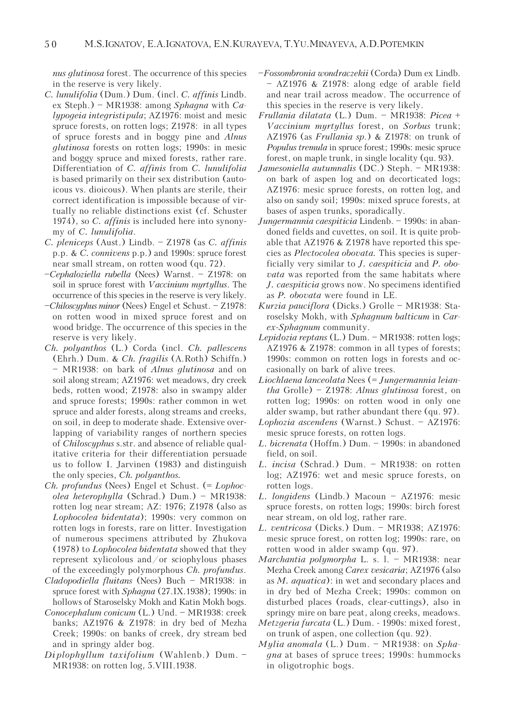nus glutinosa forest. The occurrence of this species in the reserve is very likely.

- C. lunulifolia (Dum.) Dum. (incl. C. affinis Lindb. ex Steph.) – MR1938: among Sphagna with Calypogeia integristipula; AZ1976: moist and mesic spruce forests, on rotten logs; Z1978: in all types of spruce forests and in boggy pine and Alnus glutinosa forests on rotten logs; 1990s: in mesic and boggy spruce and mixed forests, rather rare. Differentiation of C. affinis from C. lunulifolia is based primarily on their sex distribution (autoicous vs. dioicous). When plants are sterile, their correct identification is impossible because of virtually no reliable distinctions exist (cf. Schuster 1974), so C. affinis is included here into synonymy of C. lunulifolia.
- C. pleniceps (Aust.) Lindb. Z1978 (as C. affinis p.p. & C. connivens p.p.) and 1990s: spruce forest near small stream, on rotten wood (qu. 72).
- –Cephaloziella rubella (Nees) Warnst. Z1978: on soil in spruce forest with Vaccinium myrtyllus. The occurrence of this species in the reserve is very likely.
- –Chiloscyphus minor (Nees) Engel et Schust. Z1978: on rotten wood in mixed spruce forest and on wood bridge. The occurrence of this species in the reserve is very likely.
- Ch. polyanthos (L.) Corda (incl. Ch. pallescens (Ehrh.) Dum. & Ch. fragilis (A.Roth) Schiffn.) – MR1938: on bark of Alnus glutinosa and on soil along stream; AZ1976: wet meadows, dry creek beds, rotten wood; Z1978: also in swampy alder and spruce forests; 1990s: rather common in wet spruce and alder forests, along streams and creeks, on soil, in deep to moderate shade. Extensive overlapping of variability ranges of northern species of Chiloscyphus s.str. and absence of reliable qualitative criteria for their differentiation persuade us to follow I. Jarvinen (1983) and distinguish the only species, Ch. polyanthos.
- Ch. profundus (Nees) Engel et Schust. (= Lophocolea heterophylla (Schrad.) Dum.) – MR1938: rotten log near stream; AZ: 1976; Z1978 (also as Lophocolea bidentata); 1990s: very common on rotten logs in forests, rare on litter. Investigation of numerous specimens attributed by Zhukova (1978) to Lophocolea bidentata showed that they represent xylicolous and/or sciophylous phases of the exceedingly polymorphous Ch. profundus.
- Cladopodiella fluitans (Nees) Buch MR1938: in spruce forest with Sphagna (27.IX.1938); 1990s: in hollows of Staroselsky Mokh and Katin Mokh bogs.
- Conocephalum conicum (L.) Und. MR1938: creek banks; AZ1976 & Z1978: in dry bed of Mezha Creek; 1990s: on banks of creek, dry stream bed and in springy alder bog.
- Di plophyllum taxifolium (Wahlenb.) Dum. MR1938: on rotten log, 5.VIII.1938.
- –Fossombronia wondraczekii (Corda) Dum ex Lindb. – AZ1976 & Z1978: along edge of arable field and near trail across meadow. The occurrence of this species in the reserve is very likely.
- Frullania dilatata (L.) Dum. MR1938: Picea + Vaccinium myrtyllus forest, on Sorbus trunk; AZ1976 (as Frullania sp.) & Z1978: on trunk of Populus tremula in spruce forest; 1990s: mesic spruce forest, on maple trunk, in single locality (qu. 93).
- Jamesoniella autumnalis (DC.) Steph. MR1938: on bark of aspen log and on decorticated logs; AZ1976: mesic spruce forests, on rotten log, and also on sandy soil; 1990s: mixed spruce forests, at bases of aspen trunks, sporadically.
- Jungermannia caespiticia Lindenb. 1990s: in abandoned fields and cuvettes, on soil. It is quite probable that AZ1976 & Z1978 have reported this species as Plectocolea obovata. This species is superficially very similar to J. caespiticia and P. obovata was reported from the same habitats where J. caespiticia grows now. No specimens identified as P. obovata were found in LE.
- Kurzia pauciflora (Dicks.) Grolle MR1938: Staroselsky Mokh, with Sphagnum balticum in Carex-Sphagnum community.
- Lepidozia reptans (L.) Dum. MR1938: rotten logs; AZ1976 & Z1978: common in all types of forests; 1990s: common on rotten logs in forests and occasionally on bark of alive trees.
- Liochlaena lanceolata Nees (= Jungermannia leiantha Grolle) – Z1978: Alnus glutinosa forest, on rotten log; 1990s: on rotten wood in only one alder swamp, but rather abundant there (qu. 97).
- Lophozia ascendens (Warnst.) Schust. AZ1976: mesic spruce forests, on rotten logs.
- L. bicrenata (Hoffm.) Dum. 1990s: in abandoned field, on soil.
- L. incisa (Schrad.) Dum. MR1938: on rotten log; AZ1976: wet and mesic spruce forests, on rotten logs.
- L. longidens (Lindb.) Macoun AZ1976: mesic spruce forests, on rotten logs; 1990s: birch forest near stream, on old log, rather rare.
- L. ventricosa (Dicks.) Dum. MR1938; AZ1976: mesic spruce forest, on rotten log; 1990s: rare, on rotten wood in alder swamp (qu. 97).
- Marchantia polymorpha L. s. l. MR1938: near Mezha Creek among Carex vesicaria; AZ1976 (also as M. aquatica): in wet and secondary places and in dry bed of Mezha Creek; 1990s: common on disturbed places (roads, clear-cuttings), also in springy mire on bare peat, along creeks, meadows.
- Metzgeria furcata (L.) Dum. 1990s: mixed forest, on trunk of aspen, one collection (qu. 92).
- Mylia anomala (L.) Dum. MR1938: on Sphagna at bases of spruce trees; 1990s: hummocks in oligotrophic bogs.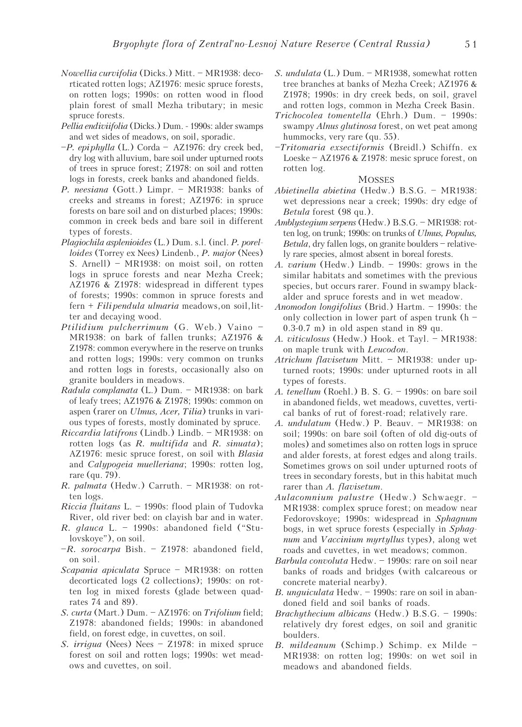- Nowellia curvifolia (Dicks.) Mitt. MR1938: decorticated rotten logs; AZ1976: mesic spruce forests, on rotten logs; 1990s: on rotten wood in flood plain forest of small Mezha tributary; in mesic spruce forests.
- Pellia endiviifolia (Dicks.) Dum. 1990s: alder swamps and wet sides of meadows, on soil, sporadic.
- $-P.$  epiphylla (L.) Corda AZ1976: dry creek bed, dry log with alluvium, bare soil under upturned roots of trees in spruce forest; Z1978: on soil and rotten logs in forests, creek banks and abandoned fields.
- P. neesiana (Gott.) Limpr. MR1938: banks of creeks and streams in forest; AZ1976: in spruce forests on bare soil and on disturbed places; 1990s: common in creek beds and bare soil in different types of forests.
- Plagiochila asplenioides (L.) Dum. s.l. (incl. P. porelloides (Torrey ex Nees) Lindenb., P. major (Nees) S. Arnell) – MR1938: on moist soil, on rotten logs in spruce forests and near Mezha Creek; AZ1976 & Z1978: widespread in different types of forests; 1990s: common in spruce forests and  $fern + Filipendula ulmaria$  meadows, on soil, litter and decaying wood.
- Ptilidium pulcherrimum (G. Web.) Vaino MR1938: on bark of fallen trunks; AZ1976 & Z1978: common everywhere in the reserve on trunks and rotten logs; 1990s: very common on trunks and rotten logs in forests, occasionally also on granite boulders in meadows.
- Radula complanata (L.) Dum. MR1938: on bark of leafy trees; AZ1976 & Z1978; 1990s: common on aspen (rarer on Ulmus, Acer, Tilia) trunks in various types of forests, mostly dominated by spruce.
- Riccardia latifrons (Lindb.) Lindb. MR1938: on rotten logs (as  $R.$  multifida and  $R.$  sinuata); AZ1976: mesic spruce forest, on soil with Blasia and Calypogeia muelleriana; 1990s: rotten log, rare (qu. 79).
- R. palmata (Hedw.) Carruth. MR1938: on rotten logs.
- Riccia fluitans L. 1990s: flood plain of Tudovka River, old river bed: on clayish bar and in water.
- R. glauca L. 1990s: abandoned field ("Stulovskoye"), on soil.
- $-R.$  sorocarpa Bish. Z1978: abandoned field, on soil.
- Scapania apiculata Spruce MR1938: on rotten decorticated logs (2 collections); 1990s: on rotten log in mixed forests (glade between quadrates 74 and 89).
- S. curta (Mart.) Dum. AZ1976: on Trifolium field; Z1978: abandoned fields; 1990s: in abandoned field, on forest edge, in cuvettes, on soil.
- S. *irriqua* (Nees) Nees Z1978: in mixed spruce forest on soil and rotten logs; 1990s: wet meadows and cuvettes, on soil.
- S. undulata (L.) Dum. MR1938, somewhat rotten tree branches at banks of Mezha Creek; AZ1976 & Z1978; 1990s: in dry creek beds, on soil, gravel and rotten logs, common in Mezha Creek Basin.
- Trichocolea tomentella (Ehrh.) Dum. 1990s: swampy Alnus glutinosa forest, on wet peat among hummocks, very rare (qu. 55).
- –Tritomaria exsectiformis (Breidl.) Schiffn. ex Loeske – AZ1976 & Z1978: mesic spruce forest, on rotten log.

## **MOSSES**

- Abietinella abietina (Hedw.) B.S.G. MR1938: wet depressions near a creek; 1990s: dry edge of Betula forest (98 qu.).
- Amblystegium serpens (Hedw.) B.S.G. MR1938: rotten log, on trunk; 1990s: on trunks of Ulmus, Populus, Betula, dry fallen logs, on granite boulders – relatively rare species, almost absent in boreal forests.
- A. varium (Hedw.) Lindb. 1990s: grows in the similar habitats and sometimes with the previous species, but occurs rarer. Found in swampy blackalder and spruce forests and in wet meadow.
- Anomodon longifolius (Brid.) Hartm. 1990s: the only collection in lower part of aspen trunk (h – 0.3-0.7 m) in old aspen stand in 89 qu.
- A. viticulosus (Hedw.) Hook. et Tayl. MR1938: on maple trunk with Leucodon.
- Atrichum flavisetum Mitt. MR1938: under upturned roots; 1990s: under upturned roots in all types of forests.
- A. tenellum (Roehl.) B. S. G. 1990s: on bare soil in abandoned fields, wet meadows, cuvettes, vertical banks of rut of forest-road; relatively rare.
- A. undulatum (Hedw.) P. Beauv. MR1938: on soil; 1990s: on bare soil (often of old dig-outs of moles) and sometimes also on rotten logs in spruce and alder forests, at forest edges and along trails. Sometimes grows on soil under upturned roots of trees in secondary forests, but in this habitat much rarer than A. flavisetum.
- Aulacomnium palustre (Hedw.) Schwaegr. MR1938: complex spruce forest; on meadow near Fedorovskoye; 1990s: widespread in Sphagnum bogs, in wet spruce forests (especially in Sphagnum and Vaccinium myrtyllus types), along wet roads and cuvettes, in wet meadows; common.
- Barbula convoluta Hedw. 1990s: rare on soil near banks of roads and bridges (with calcareous or concrete material nearby).
- B. unguiculata Hedw. 1990s: rare on soil in abandoned field and soil banks of roads.
- Brachythecium albicans (Hedw.) B.S.G. 1990s: relatively dry forest edges, on soil and granitic boulders.
- B. mildeanum (Schimp.) Schimp. ex Milde MR1938: on rotten log; 1990s: on wet soil in meadows and abandoned fields.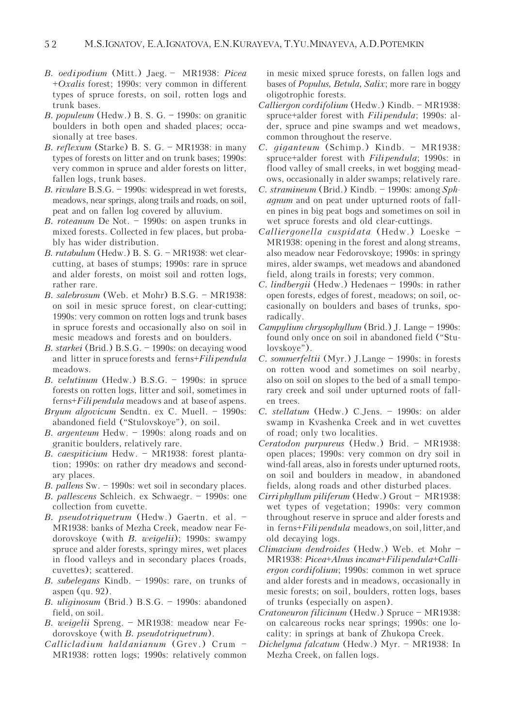- B. oedi podium (Mitt.) Jaeg. MR1938: Picea +Oxalis forest; 1990s: very common in different types of spruce forests, on soil, rotten logs and trunk bases.
- B. populeum (Hedw.) B. S. G. 1990s: on granitic boulders in both open and shaded places; occasionally at tree bases.
- B. reflexum (Starke) B. S. G. MR1938: in many types of forests on litter and on trunk bases; 1990s: very common in spruce and alder forests on litter, fallen logs, trunk bases.
- B. rivulare B.S.G. 1990s: widespread in wet forests, meadows, near springs, along trails and roads, on soil, peat and on fallen log covered by alluvium.
- B. roteanum De Not. 1990s: on aspen trunks in mixed forests. Collected in few places, but probably has wider distribution.
- B. rutabulum (Hedw.) B. S. G. MR1938: wet clearcutting, at bases of stumps; 1990s: rare in spruce and alder forests, on moist soil and rotten logs, rather rare.
- B. salebrosum (Web. et Mohr) B.S.G. MR1938: on soil in mesic spruce forest, on clear-cutting; 1990s: very common on rotten logs and trunk bases in spruce forests and occasionally also on soil in mesic meadows and forests and on boulders.
- B. starkei (Brid.) B.S.G. 1990s: on decaying wood and litter in spruce forests and  $ferns+Fili$  pendula meadows.
- B. velutinum (Hedw.) B.S.G. 1990s: in spruce forests on rotten logs, litter and soil, sometimes in ferns+*Filipendula* meadows and at base of aspens.
- Bryum algovicum Sendtn. ex C. Muell. 1990s: abandoned field ("Stulovskoye"), on soil.
- B. argenteum Hedw. 1990s: along roads and on granitic boulders, relatively rare.
- B. caespiticium Hedw. MR1938: forest plantation; 1990s: on rather dry meadows and secondary places.
- B. pallens Sw. 1990s: wet soil in secondary places.
- B. pallescens Schleich. ex Schwaegr. 1990s: one collection from cuvette.
- B. pseudotriquetrum (Hedw.) Gaertn. et al. MR1938: banks of Mezha Creek, meadow near Fedorovskoye (with B. weigelii); 1990s: swampy spruce and alder forests, springy mires, wet places in flood valleys and in secondary places (roads, cuvettes); scattered.
- B. subelegans Kindb. 1990s: rare, on trunks of aspen (qu. 92).
- B. uliginosum (Brid.) B.S.G. 1990s: abandoned field, on soil.
- B. weigelii Spreng. MR1938: meadow near Fedorovskoye (with B. pseudotriquetrum).
- Callicladium haldanianum (Grev.) Crum MR1938: rotten logs; 1990s: relatively common

in mesic mixed spruce forests, on fallen logs and bases of Populus, Betula, Salix; more rare in boggy oligotrophic forests.

- Calliergon cordifolium (Hedw.) Kindb. MR1938: spruce+alder forest with *Fili pendula*; 1990s: alder, spruce and pine swamps and wet meadows, common throughout the reserve.
- C. giganteum (Schimp.) Kindb. MR1938: spruce+alder forest with *Filipendula*; 1990s: in flood valley of small creeks, in wet bogging meadows, occasionally in alder swamps; relatively rare.
- C. stramineum (Brid.) Kindb. 1990s: among Sphagnum and on peat under upturned roots of fallen pines in big peat bogs and sometimes on soil in wet spruce forests and old clear-cuttings.
- Calliergonella cuspidata (Hedw.) Loeske MR1938: opening in the forest and along streams, also meadow near Fedorovskoye; 1990s: in springy mires, alder swamps, wet meadows and abandoned field, along trails in forests; very common.
- C. lindbergii (Hedw.) Hedenaes 1990s: in rather open forests, edges of forest, meadows; on soil, occasionally on boulders and bases of trunks, sporadically.
- Campylium chrysophyllum (Brid.) J. Lange 1990s: found only once on soil in abandoned field ("Stulovskoye").
- C. sommerfeltii (Myr.) J.Lange 1990s: in forests on rotten wood and sometimes on soil nearby, also on soil on slopes to the bed of a small temporary creek and soil under upturned roots of fallen trees.
- C. stellatum (Hedw.) C.Jens. 1990s: on alder swamp in Kvashenka Creek and in wet cuvettes of road; only two localities.
- Ceratodon purpureus (Hedw.) Brid. MR1938: open places; 1990s: very common on dry soil in wind-fall areas, also in forests under upturned roots, on soil and boulders in meadow, in abandoned fields, along roads and other disturbed places.
- Cirriphyllum piliferum (Hedw.) Grout MR1938: wet types of vegetation; 1990s: very common throughout reserve in spruce and alder forests and in ferns+Filipendula meadows, on soil, litter, and old decaying logs.
- Climacium dendroides (Hedw.) Web. et Mohr MR1938: Picea+Alnus incana+Filipendula+Calliergon cordifolium; 1990s: common in wet spruce and alder forests and in meadows, occasionally in mesic forests; on soil, boulders, rotten logs, bases of trunks (especially on aspen).
- Cratoneuron filicinum (Hedw.) Spruce MR1938: on calcareous rocks near springs; 1990s: one locality: in springs at bank of Zhukopa Creek.
- Dichelyma falcatum (Hedw.) Myr. MR1938: In Mezha Creek, on fallen logs.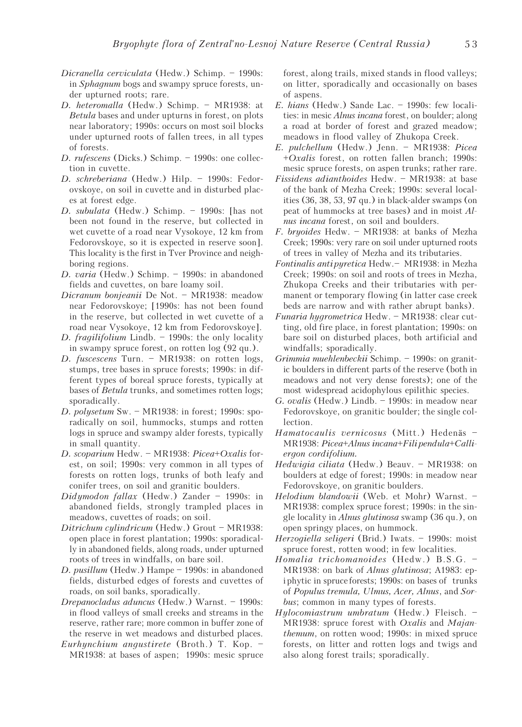- Dicranella cerviculata (Hedw.) Schimp. 1990s: in Sphagnum bogs and swampy spruce forests, under upturned roots; rare.
- D. heteromalla (Hedw.) Schimp. MR1938: at Betula bases and under upturns in forest, on plots near laboratory; 1990s: occurs on most soil blocks under upturned roots of fallen trees, in all types of forests.
- D. rufescens (Dicks.) Schimp. 1990s: one collection in cuvette.
- D. schreberiana (Hedw.) Hilp. 1990s: Fedorovskoye, on soil in cuvette and in disturbed places at forest edge.
- D. subulata (Hedw.) Schimp. 1990s: [has not been not found in the reserve, but collected in wet cuvette of a road near Vysokoye, 12 km from Fedorovskoye, so it is expected in reserve soon]. This locality is the first in Tver Province and neighboring regions.
- D. varia (Hedw.) Schimp. 1990s: in abandoned fields and cuvettes, on bare loamy soil.
- Dicranum bonjeanii De Not. MR1938: meadow near Fedorovskoye; [1990s: has not been found in the reserve, but collected in wet cuvette of a road near Vysokoye, 12 km from Fedorovskoye].
- D. fragilifolium Lindb. 1990s: the only locality in swampy spruce forest, on rotten log (92 qu.).
- D. fuscescens Turn. MR1938: on rotten logs, stumps, tree bases in spruce forests; 1990s: in different types of boreal spruce forests, typically at bases of Betula trunks, and sometimes rotten logs; sporadically.
- D. polysetum Sw. MR1938: in forest; 1990s: sporadically on soil, hummocks, stumps and rotten logs in spruce and swampy alder forests, typically in small quantity.
- D. scoparium Hedw. MR1938: Picea+Oxalis forest, on soil; 1990s: very common in all types of forests on rotten logs, trunks of both leafy and conifer trees, on soil and granitic boulders.
- Didymodon fallax (Hedw.) Zander 1990s: in abandoned fields, strongly trampled places in meadows, cuvettes of roads; on soil.
- Ditrichum cylindricum (Hedw.) Grout MR1938: open place in forest plantation; 1990s: sporadically in abandoned fields, along roads, under upturned roots of trees in windfalls, on bare soil.
- D. pusillum (Hedw.) Hampe 1990s: in abandoned fields, disturbed edges of forests and cuvettes of roads, on soil banks, sporadically.
- Drepanocladus aduncus (Hedw.) Warnst. 1990s: in flood valleys of small creeks and streams in the reserve, rather rare; more common in buffer zone of the reserve in wet meadows and disturbed places.
- Eurhynchium angustirete (Broth.) T. Kop. MR1938: at bases of aspen; 1990s: mesic spruce

forest, along trails, mixed stands in flood valleys; on litter, sporadically and occasionally on bases of aspens.

- E. hians (Hedw.) Sande Lac. 1990s: few localities: in mesic *Alnus incana* forest, on boulder; along a road at border of forest and grazed meadow; meadows in flood valley of Zhukopa Creek.
- E. pulchellum (Hedw.) Jenn. MR1938: Picea +Oxalis forest, on rotten fallen branch; 1990s: mesic spruce forests, on aspen trunks; rather rare.
- Fissidens adianthoides Hedw. MR1938: at base of the bank of Mezha Creek; 1990s: several localities (36, 38, 53, 97 qu.) in black-alder swamps (on peat of hummocks at tree bases) and in moist Alnus incana forest, on soil and boulders.
- F. bryoides Hedw. MR1938: at banks of Mezha Creek; 1990s: very rare on soil under upturned roots of trees in valley of Mezha and its tributaries.
- Fontinalis antipyretica Hedw. MR1938: in Mezha Creek; 1990s: on soil and roots of trees in Mezha, Zhukopa Creeks and their tributaries with permanent or temporary flowing (in latter case creek beds are narrow and with rather abrupt banks).
- Funaria hygrometrica Hedw. MR1938: clear cutting, old fire place, in forest plantation; 1990s: on bare soil on disturbed places, both artificial and windfalls; sporadically.
- Grimmia muehlenbeckii Schimp. 1990s: on granitic boulders in different parts of the reserve (both in meadows and not very dense forests); one of the most widespread acidophylous epilithic species.
- G. ovalis (Hedw.) Lindb. 1990s: in meadow near Fedorovskoye, on granitic boulder; the single collection.
- Hamatocaulis vernicosus (Mitt.) Hedenäs MR1938: Picea+Alnus incana+Filipendula+Calliergon cordifolium.
- Hedwigia ciliata (Hedw.) Beauv. MR1938: on boulders at edge of forest; 1990s: in meadow near Fedorovskoye, on granitic boulders.
- Helodium blandowii (Web. et Mohr) Warnst. MR1938: complex spruce forest; 1990s: in the single locality in *Alnus glutinosa* swamp (36 qu.), on open springy places, on hummock.
- Herzogiella seligeri (Brid.) Iwats. 1990s: moist spruce forest, rotten wood; in few localities.
- Homalia trichomanoides (Hedw.) B.S.G. MR1938: on bark of Alnus glutinosa; A1983: epi phytic in spruce forests; 1990s: on bases of trunks of Populus tremula, Ulmus, Acer, Alnus, and Sorbus; common in many types of forests.
- Hylocomiastrum umbratum (Hedw.) Fleisch. MR1938: spruce forest with Oxalis and Majanthemum, on rotten wood; 1990s: in mixed spruce forests, on litter and rotten logs and twigs and also along forest trails; sporadically.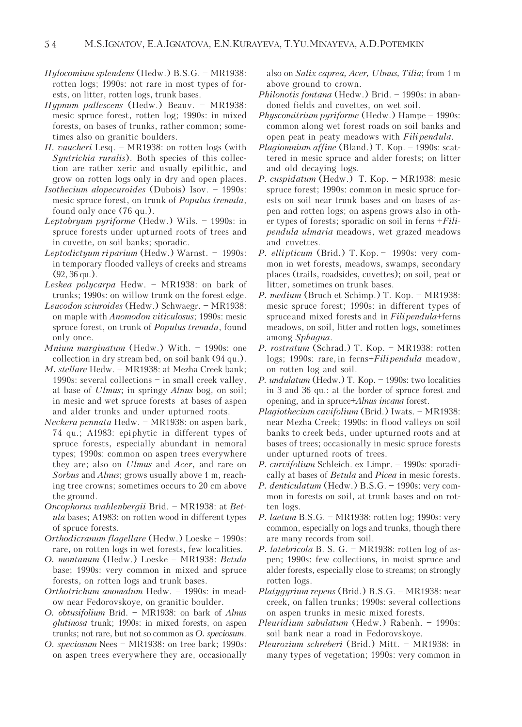- Hylocomium splendens (Hedw.) B.S.G. MR1938: rotten logs; 1990s: not rare in most types of forests, on litter, rotten logs, trunk bases.
- Hypnum pallescens (Hedw.) Beauv. MR1938: mesic spruce forest, rotten log; 1990s: in mixed forests, on bases of trunks, rather common; sometimes also on granitic boulders.
- H. vaucheri Lesq. MR1938: on rotten logs (with Syntrichia ruralis). Both species of this collection are rather xeric and usually epilithic, and grow on rotten logs only in dry and open places.
- Isothecium alopecuroides (Dubois) Isov. 1990s: mesic spruce forest, on trunk of Populus tremula, found only once (76 qu.).
- Leptobryum pyriforme (Hedw.) Wils. 1990s: in spruce forests under upturned roots of trees and in cuvette, on soil banks; sporadic.
- Leptodictyum riparium (Hedw.) Warnst. 1990s: in temporary flooded valleys of creeks and streams (92, 36 qu.).
- Leskea polycarpa Hedw. MR1938: on bark of trunks; 1990s: on willow trunk on the forest edge.
- Leucodon sciuroides (Hedw.) Schwaegr. MR1938: on maple with Anomodon viticulosus; 1990s: mesic spruce forest, on trunk of Populus tremula, found only once.
- Mnium marginatum (Hedw.) With. 1990s: one collection in dry stream bed, on soil bank (94 qu.).
- M. stellare Hedw. MR1938: at Mezha Creek bank; 1990s: several collections – in small creek valley, at base of Ulmus; in springy Alnus bog, on soil; in mesic and wet spruce forests at bases of aspen and alder trunks and under upturned roots.
- Neckera pennata Hedw. MR1938: on aspen bark, 74 qu.; A1983: epi phytic in different types of spruce forests, especially abundant in nemoral types; 1990s: common on aspen trees everywhere they are; also on Ulmus and Acer, and rare on Sorbus and Alnus; grows usually above 1 m, reaching tree crowns; sometimes occurs to 20 cm above the ground.
- Oncophorus wahlenbergii Brid. MR1938: at Betula bases; A1983: on rotten wood in different types of spruce forests.
- Orthodicranum flagellare (Hedw.) Loeske 1990s: rare, on rotten logs in wet forests, few localities.
- O. montanum (Hedw.) Loeske MR1938: Betula base; 1990s: very common in mixed and spruce forests, on rotten logs and trunk bases.
- Orthotrichum anomalum Hedw. 1990s: in meadow near Fedorovskoye, on granitic boulder.
- O. obtusifolium Brid. MR1938: on bark of Alnus glutinosa trunk; 1990s: in mixed forests, on aspen trunks; not rare, but not so common as O. speciosum.
- O. speciosum Nees MR1938: on tree bark; 1990s: on aspen trees everywhere they are, occasionally

also on Salix caprea, Acer, Ulmus, Tilia; from 1 m above ground to crown.

- Philonotis fontana (Hedw.) Brid. 1990s: in abandoned fields and cuvettes, on wet soil.
- Physcomitrium pyriforme (Hedw.) Hampe 1990s: common along wet forest roads on soil banks and open peat in peaty meadows with *Fili pendula*.
- Plagiomnium affine (Bland.) T. Kop. 1990s: scattered in mesic spruce and alder forests; on litter and old decaying logs.
- P. cuspidatum (Hedw.) T. Kop. MR1938: mesic spruce forest; 1990s: common in mesic spruce forests on soil near trunk bases and on bases of aspen and rotten logs; on aspens grows also in other types of forests; sporadic on soil in ferns +Filipendula ulmaria meadows, wet grazed meadows and cuvettes.
- P. ellipticum (Brid.) T. Kop. 1990s: very common in wet forests, meadows, swamps, secondary places (trails, roadsides, cuvettes); on soil, peat or litter, sometimes on trunk bases.
- P. medium (Bruch et Schimp.) T. Kop. MR1938: mesic spruce forest; 1990s: in different types of spruce and mixed forests and in Filipendula+ferns meadows, on soil, litter and rotten logs, sometimes among Sphagna.
- P. rostratum (Schrad.) T. Kop. MR1938: rotten logs; 1990s: rare, in ferns+Fili pendula meadow, on rotten log and soil.
- P. undulatum (Hedw.) T. Kop. 1990s: two localities in 3 and 36 qu.: at the border of spruce forest and opening, and in spruce+Alnus incana forest.
- Plagiothecium cavifolium (Brid.) Iwats. MR1938: near Mezha Creek; 1990s: in flood valleys on soil banks to creek beds, under upturned roots and at bases of trees; occasionally in mesic spruce forests under upturned roots of trees.
- P. curvifolium Schleich. ex Limpr. 1990s: sporadically at bases of Betula and Picea in mesic forests.
- P. denticulatum (Hedw.) B.S.G. 1990s: very common in forests on soil, at trunk bases and on rotten logs.
- P. laetum B.S.G. MR1938: rotten log; 1990s: very common, especially on logs and trunks, though there are many records from soil.
- P. latebricola B. S. G. MR1938: rotten log of aspen; 1990s: few collections, in moist spruce and alder forests, especially close to streams; on strongly rotten logs.
- Platygyrium repens (Brid.) B.S.G. MR1938: near creek, on fallen trunks; 1990s: several collections on aspen trunks in mesic mixed forests.
- Pleuridium subulatum (Hedw.) Rabenh. 1990s: soil bank near a road in Fedorovskoye.
- Pleurozium schreberi (Brid.) Mitt. MR1938: in many types of vegetation; 1990s: very common in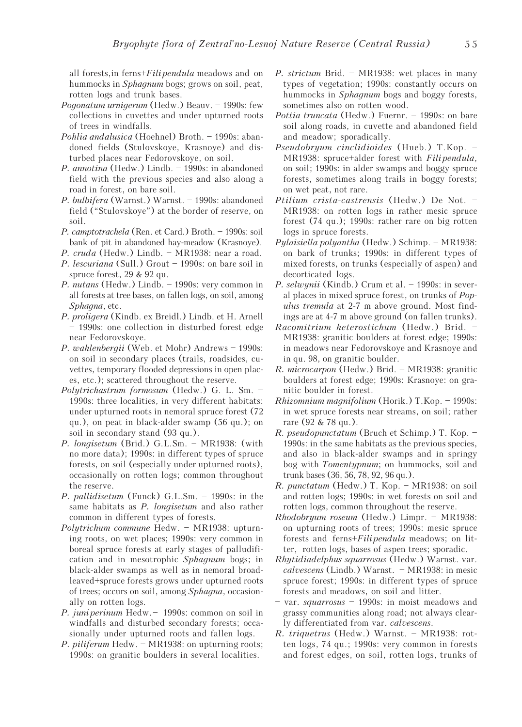all forests, in ferns+Fili pendula meadows and on hummocks in *Sphagnum* bogs; grows on soil, peat, rotten logs and trunk bases.

- Pogonatum urnigerum (Hedw.) Beauv. 1990s: few collections in cuvettes and under upturned roots of trees in windfalls.
- Pohlia andalusica (Hoehnel) Broth. 1990s: abandoned fields (Stulovskoye, Krasnoye) and disturbed places near Fedorovskoye, on soil.
- P. annotina (Hedw.) Lindb. 1990s: in abandoned field with the previous species and also along a road in forest, on bare soil.
- P. bulbifera (Warnst.) Warnst. 1990s: abandoned field ("Stulovskoye") at the border of reserve, on soil.
- P. camptotrachela (Ren. et Card.) Broth. 1990s: soil bank of pit in abandoned hay-meadow (Krasnoye).
- P. cruda (Hedw.) Lindb. MR1938: near a road.
- P. lescuriana (Sull.) Grout 1990s: on bare soil in spruce forest, 29 & 92 qu.
- P. nutans (Hedw.) Lindb. 1990s: very common in all forests at tree bases, on fallen logs, on soil, among Sphagna, etc.
- P. proligera (Kindb. ex Breidl.) Lindb. et H. Arnell – 1990s: one collection in disturbed forest edge near Fedorovskoye.
- P. wahlenbergii (Web. et Mohr) Andrews 1990s: on soil in secondary places (trails, roadsides, cuvettes, temporary flooded depressions in open places, etc.); scattered throughout the reserve.
- Polytrichastrum formosum (Hedw.) G. L. Sm. 1990s: three localities, in very different habitats: under upturned roots in nemoral spruce forest (72 qu.), on peat in black-alder swamp (56 qu.); on soil in secondary stand (93 qu.).
- P. longisetum (Brid.) G.L.Sm. MR1938: (with no more data); 1990s: in different types of spruce forests, on soil (especially under upturned roots), occasionally on rotten logs; common throughout the reserve.
- P. pallidisetum (Funck) G.L.Sm. 1990s: in the same habitats as *P. longisetum* and also rather common in different types of forests.
- Polytrichum commune Hedw. MR1938: upturning roots, on wet places; 1990s: very common in boreal spruce forests at early stages of palludification and in mesotrophic Sphagnum bogs; in black-alder swamps as well as in nemoral broadleaved+spruce forests grows under upturned roots of trees; occurs on soil, among Sphagna, occasionally on rotten logs.
- P. juni perinum Hedw. 1990s: common on soil in windfalls and disturbed secondary forests; occasionally under upturned roots and fallen logs.
- P. *piliferum* Hedw. MR1938: on upturning roots; 1990s: on granitic boulders in several localities.
- P. strictum Brid. MR1938: wet places in many types of vegetation; 1990s: constantly occurs on hummocks in *Sphagnum* bogs and boggy forests, sometimes also on rotten wood.
- Pottia truncata (Hedw.) Fuernr. 1990s: on bare soil along roads, in cuvette and abandoned field and meadow; sporadically.
- Pseudobryum cinclidioides (Hueb.) T.Kop. MR1938: spruce+alder forest with Fili pendula, on soil; 1990s: in alder swamps and boggy spruce forests, sometimes along trails in boggy forests; on wet peat, not rare.
- Ptilium crista-castrensis (Hedw.) De Not. MR1938: on rotten logs in rather mesic spruce forest (74 qu.); 1990s: rather rare on big rotten logs in spruce forests.
- Pylaisiella polyantha (Hedw.) Schimp. MR1938: on bark of trunks; 1990s: in different types of mixed forests, on trunks (especially of aspen) and decorticated logs.
- P. selwynii (Kindb.) Crum et al. 1990s: in several places in mixed spruce forest, on trunks of Populus tremula at 2-7 m above ground. Most findings are at 4-7 m above ground (on fallen trunks).
- Racomitrium heterostichum (Hedw.) Brid. MR1938: granitic boulders at forest edge; 1990s: in meadows near Fedorovskoye and Krasnoye and in qu. 98, on granitic boulder.
- R. microcarpon (Hedw.) Brid. MR1938: granitic boulders at forest edge; 1990s: Krasnoye: on granitic boulder in forest.
- Rhizomnium magnifolium (Horik.) T.Kop. 1990s: in wet spruce forests near streams, on soil; rather rare (92 & 78 qu.).
- R. pseudopunctatum (Bruch et Schimp.) T. Kop. 1990s: in the same habitats as the previous species, and also in black-alder swamps and in springy bog with Tomentypnum; on hummocks, soil and trunk bases (36, 56, 78, 92, 96 qu.).
- R. punctatum (Hedw.) T. Kop. MR1938: on soil and rotten logs; 1990s: in wet forests on soil and rotten logs, common throughout the reserve.
- Rhodobryum roseum (Hedw.) Limpr. MR1938: on upturning roots of trees; 1990s: mesic spruce forests and ferns+*Filipendula* meadows; on litter, rotten logs, bases of aspen trees; sporadic.
- Rhytidiadelphus squarrosus (Hedw.) Warnst. var. calvescens (Lindb.) Warnst. – MR1938: in mesic spruce forest; 1990s: in different types of spruce forests and meadows, on soil and litter.
- var. squarrosus 1990s: in moist meadows and grassy communities along road; not always clearly differentiated from var. calvescens.
- R. triquetrus (Hedw.) Warnst. MR1938: rotten logs, 74 qu.; 1990s: very common in forests and forest edges, on soil, rotten logs, trunks of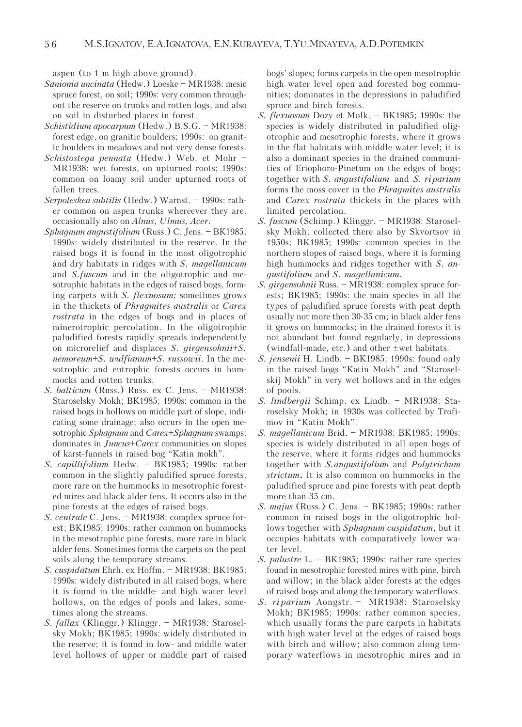aspen (to 1 m high above ground).

- Sanionia uncinata (Hedw.) Loeske MR1938: mesic spruce forest, on soil; 1990s: very common throughout the reserve on trunks and rotten logs, and also on soil in disturbed places in forest.
- Schistidium apocarpum (Hedw.) B.S.G. MR1938: forest edge, on granitic boulders; 1990s: on granitic boulders in meadows and not very dense forests.
- Schistostega pennata (Hedw.) Web. et Mohr MR1938: wet forests, on upturned roots; 1990s: common on loamy soil under upturned roots of fallen trees.
- Serpoleskea subtilis (Hedw.) Warnst. 1990s: rather common on aspen trunks whereever they are, occasionally also on Alnus, Ulmus, Acer.
- Sphagnum angustifolium (Russ.) C. Jens. BK1985; 1990s: widely distributed in the reserve. In the raised bogs it is found in the most oligotrophic and dry habitats in ridges with S. magellanicum and S.fuscum and in the oligotrophic and mesotrophic habitats in the edges of raised bogs, forming carpets with S. flexuosum; sometimes grows in the thickets of Phragmites australis or Carex rostrata in the edges of bogs and in places of minerotrophic percolation. In the oligotrophic paludified forests rapidly spreads independently on microrelief and displaces  $S$ . *girgensohnii*+ $S$ . nemoreum+S. wulfianum+S. russowii. In the mesotrophic and eutrophic forests occurs in hummocks and rotten trunks.
- S. balticum (Russ.) Russ. ex C. Jens. MR1938: Staroselsky Mokh; BK1985; 1990s: common in the raised bogs in hollows on middle part of slope, indicating some drainage; also occurs in the open mesotrophic Sphagnum and Carex+Sphagnum swamps; dominates in Juncus+Carex communities on slopes of karst-funnels in raised bog "Katin mokh".
- S. capillifolium Hedw. BK1985; 1990s: rather common in the slightly paludified spruce forests, more rare on the hummocks in mesotrophic forested mires and black alder fens. It occurs also in the pine forests at the edges of raised bogs.
- S. centrale C. Jens. MR1938: complex spruce forest; BK1985; 1990s: rather common on hummocks in the mesotrophic pine forests, more rare in black alder fens. Sometimes forms the carpets on the peat soils along the temporary streams.
- S. cuspidatum Ehrh. ex Hoffm. MR1938; BK1985; 1990s: widely distributed in all raised bogs, where it is found in the middle- and high water level hollows, on the edges of pools and lakes, sometimes along the streams.
- S. fallax (Klinggr.) Klinggr. MR1938: Staroselsky Mokh; BK1985; 1990s: widely distributed in the reserve; it is found in low- and middle water level hollows of upper or middle part of raised

bogs' slopes; forms carpets in the open mesotrophic high water level open and forested bog communities; dominates in the depressions in paludified spruce and birch forests.

- S. flexuosum Dozy et Molk. BK1985; 1990s: the species is widely distributed in paludified oligotrophic and mesotrophic forests, where it grows in the flat habitats with middle water level; it is also a dominant species in the drained communities of Eriophoro-Pinetum on the edges of bogs; together with S. angustifolium and S. riparium forms the moss cover in the Phragmites australis and Carex rostrata thickets in the places with limited percolation.
- S. fuscum (Schimp.) Klinggr. MR1938: Staroselsky Mokh; collected there also by Skvortsov in 1950s; BK1985; 1990s: common species in the northern slopes of raised bogs, where it is forming high hummocks and ridges together with S. angustifolium and S. magellanicum.
- S. girgensohnii Russ. MR1938: complex spruce forests; BK1985; 1990s: the main species in all the types of paludified spruce forests with peat depth usually not more then 30-35 cm; in black alder fens it grows on hummocks; in the drained forests it is not abundant but found regularly, in depressions (windfall-made, etc.) and other ±wet habitats.
- S. jensenii H. Lindb. BK1985; 1990s: found only in the raised bogs "Katin Mokh" and "Staroselskij Mokh" in very wet hollows and in the edges of pools.
- S. lindbergii Schimp. ex Lindb. MR1938: Staroselsky Mokh; in 1930s was collected by Trofimov in "Katin Mokh".
- S. magellanicum Brid. MR1938: BK1985; 1990s: species is widely distributed in all open bogs of the reserve, where it forms ridges and hummocks together with S.angustifolium and Polytrichum strictum. It is also common on hummocks in the paludified spruce and pine forests with peat depth more than 35 cm.
- S. majus (Russ.) C. Jens. BK1985; 1990s: rather common in raised bogs in the oligotrophic hollows together with *Sphagnum cuspidatum*, but it occupies habitats with comparatively lower water level.
- S. palustre L. BK1985; 1990s: rather rare species found in mesotrophic forested mires with pine, birch and willow; in the black alder forests at the edges of raised bogs and along the temporary waterflows.
- S. ri parium Aongstr. MR1938: Staroselsky Mokh; BK1985; 1990s: rather common species, which usually forms the pure carpets in habitats with high water level at the edges of raised bogs with birch and willow; also common along temporary waterflows in mesotrophic mires and in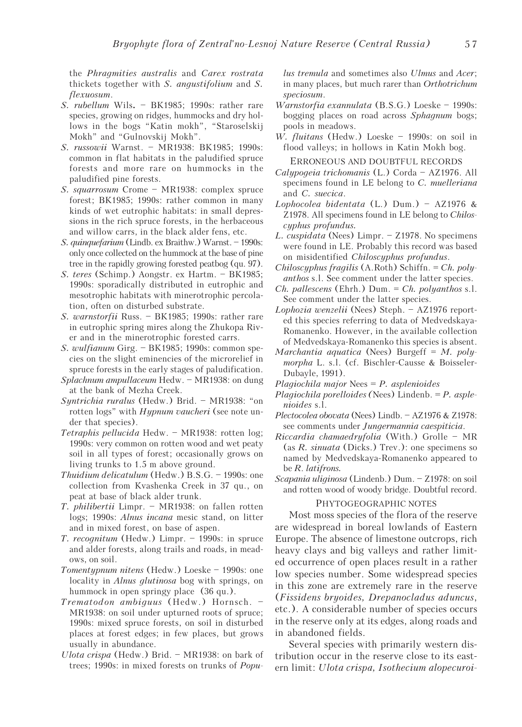the Phragmities australis and Carex rostrata thickets together with S. angustifolium and S. flexuosum.

- S. rubellum Wils. BK1985; 1990s: rather rare species, growing on ridges, hummocks and dry hollows in the bogs "Katin mokh", "Staroselskij Mokh" and "Gulnovskij Mokh".
- S. russowii Warnst. MR1938: BK1985; 1990s: common in flat habitats in the paludified spruce forests and more rare on hummocks in the paludified pine forests.
- S. squarrosum Crome MR1938: complex spruce forest; BK1985; 1990s: rather common in many kinds of wet eutrophic habitats: in small depressions in the rich spruce forests, in the herbaceous and willow carrs, in the black alder fens, etc.
- S. quinquefarium (Lindb. ex Braithw.) Warnst. 1990s: only once collected on the hummock at the base of pine tree in the rapidly growing forested peatbog (qu. 97).
- S. teres (Schimp.) Aongstr. ex Hartm. BK1985; 1990s: sporadically distributed in eutrophic and mesotrophic habitats with minerotrophic percolation, often on disturbed substrate.
- S. warnstorfii Russ. BK1985; 1990s: rather rare in eutrophic spring mires along the Zhukopa River and in the minerotrophic forested carrs.
- S. wulfianum Girg. BK1985; 1990s: common species on the slight eminencies of the microrelief in spruce forests in the early stages of paludification.
- Splachnum ampullaceum Hedw. MR1938: on dung at the bank of Mezha Creek.
- Syntrichia ruralus (Hedw.) Brid. MR1938: "on rotten logs" with *Hypnum vaucheri* (see note under that species).
- Tetraphis pellucida Hedw. MR1938: rotten log; 1990s: very common on rotten wood and wet peaty soil in all types of forest; occasionally grows on living trunks to 1.5 m above ground.
- Thuidium delicatulum (Hedw.) B.S.G. 1990s: one collection from Kvashenka Creek in 37 qu., on peat at base of black alder trunk.
- T. philibertii Limpr. MR1938: on fallen rotten logs; 1990s: Alnus incana mesic stand, on litter and in mixed forest, on base of aspen.
- T. recognitum (Hedw.) Limpr. 1990s: in spruce and alder forests, along trails and roads, in meadows, on soil.
- Tomentypnum nitens (Hedw.) Loeske 1990s: one locality in *Alnus glutinosa* bog with springs, on hummock in open springy place (36 qu.).
- Trematodon ambiguus (Hedw.) Hornsch. MR1938: on soil under upturned roots of spruce; 1990s: mixed spruce forests, on soil in disturbed places at forest edges; in few places, but grows usually in abundance.
- Ulota crispa (Hedw.) Brid. MR1938: on bark of trees; 1990s: in mixed forests on trunks of *Popu*-

lus tremula and sometimes also Ulmus and Acer; in many places, but much rarer than Orthotrichum speciosum.

- Warnstorfia exannulata (B.S.G.) Loeske 1990s: bogging places on road across Sphagnum bogs; pools in meadows.
- W. fluitans (Hedw.) Loeske 1990s: on soil in flood valleys; in hollows in Katin Mokh bog.

ERRONEOUS AND DOUBTFUL RECORDS

- Calypogeia trichomanis (L.) Corda AZ1976. All specimens found in LE belong to C. muelleriana and C. suecica.
- Lophocolea bidentata (L.) Dum.) AZ1976 & Z1978. All specimens found in LE belong to Chiloscyphus profundus.
- L. cuspidata (Nees) Limpr. Z1978. No specimens were found in LE. Probably this record was based on misidentified Chiloscyphus profundus.
- Chiloscyphus fragilis (A.Roth) Schiffn. = Ch. polyanthos s.l. See comment under the latter species.
- $Ch.$  pallescens (Ehrh.) Dum. =  $Ch.$  polyanthos s.l. See comment under the latter species.
- Lophozia wenzelii (Nees) Steph. AZ1976 reported this species referring to data of Medvedskaya-Romanenko. However, in the available collection of Medvedskaya-Romanenko this species is absent.
- Marchantia aquatica (Nees) Burgeff =  $M$ . polymorpha L. s.l. (cf. Bischler-Causse & Boisseler-Dubayle, 1991).
- Plagiochila major Nees  $= P$ . asplenioides
- Plagiochila porelloides (Nees) Lindenb.  $= P$ . asplenioides s.l.
- Plectocolea obovata (Nees) Lindb. AZ1976 & Z1978: see comments under Jungermannia caespiticia.
- Riccardia chamaedryfolia (With.) Grolle MR (as R. sinuata (Dicks.) Trev.): one specimens so named by Medvedskaya-Romanenko appeared to be R. latifrons.
- Scapania uliginosa (Lindenb.) Dum. Z1978: on soil and rotten wood of woody bridge. Doubtful record.

### PHYTOGEOGRAPHIC NOTES

Most moss species of the flora of the reserve are widespread in boreal lowlands of Eastern Europe. The absence of limestone outcrops, rich heavy clays and big valleys and rather limited occurrence of open places result in a rather low species number. Some widespread species in this zone are extremely rare in the reserve (Fissidens bryoides, Drepanocladus aduncus, etc.). A considerable number of species occurs in the reserve only at its edges, along roads and in abandoned fields.

Several species with primarily western distribution occur in the reserve close to its eastern limit: Ulota crispa, Isothecium alopecuroi-